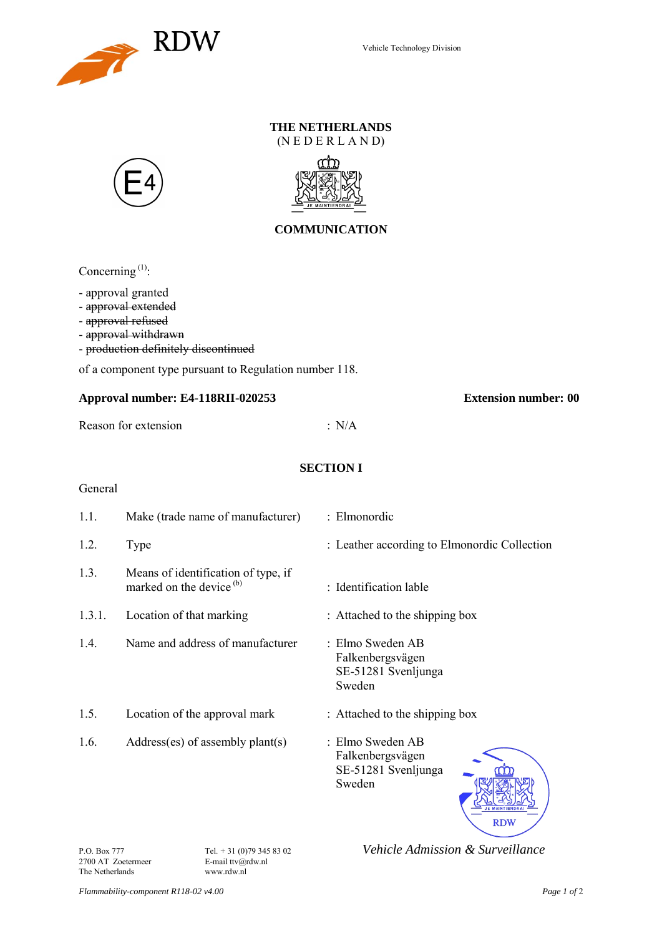

# **THE NETHERLANDS**

(N E D E R L A N D)





## **COMMUNICATION**

Concerning<sup>(1)</sup>:

- approval granted

- approval extended
- approval refused
- approval withdrawn
- production definitely discontinued

of a component type pursuant to Regulation number 118.

#### **Approval number: E4-118RII-020253 Extension number: 00**

Reason for extension : N/A

### **SECTION I**

### General

| 1.1.   | Make (trade name of manufacturer)                                          | : Elmonordic                                                          |
|--------|----------------------------------------------------------------------------|-----------------------------------------------------------------------|
| 1.2.   | Type                                                                       | : Leather according to Elmonordic Collection                          |
| 1.3.   | Means of identification of type, if<br>marked on the device <sup>(b)</sup> | : Identification lable                                                |
| 1.3.1. | Location of that marking                                                   | : Attached to the shipping box                                        |
| 1.4.   | Name and address of manufacturer                                           | : Elmo Sweden AB<br>Falkenbergsvägen<br>SE-51281 Svenljunga<br>Sweden |
| 1.5.   | Location of the approval mark                                              | : Attached to the shipping box                                        |
| 1.6.   | $Address(es)$ of assembly plant(s)                                         | : Elmo Sweden AB<br>Falkenbergsvägen<br>SE-51281 Svenljunga<br>Sweden |

2700 AT Zoetermeer E-mail ttv@r<br>The Netherlands www.rdw.nl The Netherlands

P.O. Box 777 **Tel.** + 31 (0)79 345 83 02 *Vehicle Admission & Surveillance* <sup>2700</sup> AT Zoetermeer **E-mail** tty@rdw.nl

**RDW**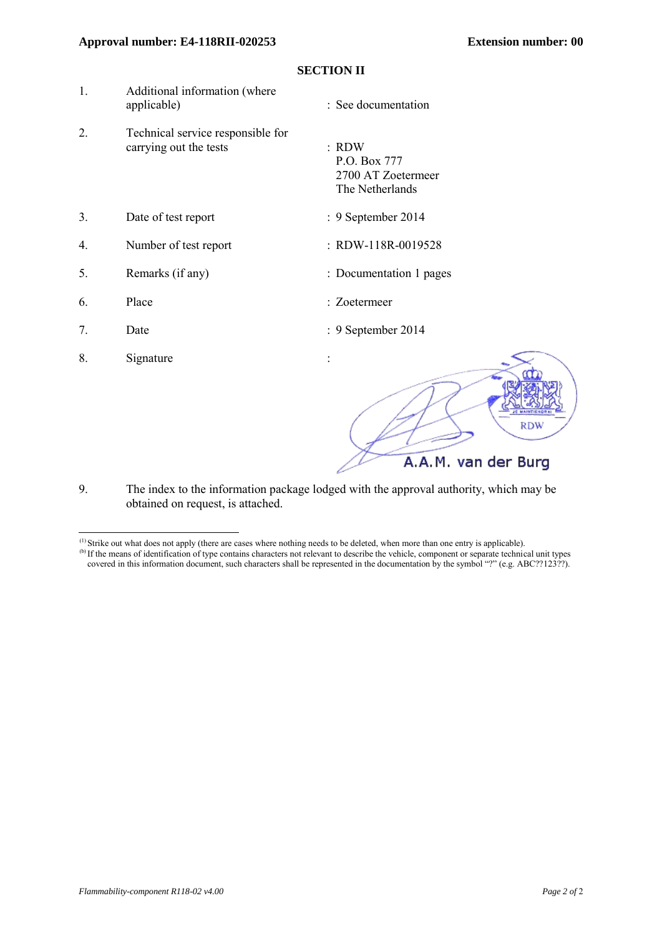#### **Approval number: E4-118RII-020253 Extension number: 00**

| 1. | Additional information (where<br>applicable)                | : See documentation                                              |
|----|-------------------------------------------------------------|------------------------------------------------------------------|
| 2. | Technical service responsible for<br>carrying out the tests | $:$ RDW<br>P.O. Box 777<br>2700 AT Zoetermeer<br>The Netherlands |
| 3. | Date of test report                                         | : 9 September 2014                                               |
| 4. | Number of test report                                       | : RDW-118R-0019528                                               |
| 5. | Remarks (if any)                                            | : Documentation 1 pages                                          |
| 6. | Place                                                       | : Zoetermeer                                                     |
| 7. | Date                                                        | : 9 September 2014                                               |
| 8. | Signature                                                   | <b>E MAINTIENOR</b><br><b>RDW</b>                                |
|    |                                                             | A.A.M. van der Burg                                              |

**SECTION II**

9. The index to the information package lodged with the approval authority, which may be obtained on request, is attached.

 $\overline{a}$  $(1)$  Strike out what does not apply (there are cases where nothing needs to be deleted, when more than one entry is applicable).

<sup>&</sup>lt;sup>(b)</sup> If the means of identification of type contains characters not relevant to describe the vehicle, component or separate technical unit types covered in this information document, such characters shall be represented in the documentation by the symbol "?" (e.g. ABC??123??).